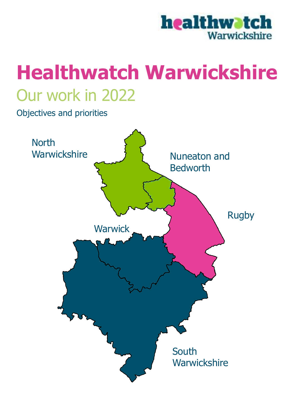

# Our work in 2022 **Healthwatch Warwickshire**

Objectives and priorities

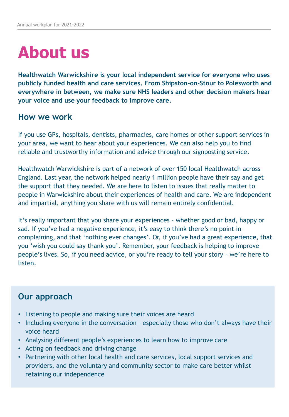## **About us**

**Healthwatch Warwickshire is your local independent service for everyone who uses publicly funded health and care services. From Shipston-on-Stour to Polesworth and everywhere in between, we make sure NHS leaders and other decision makers hear your voice and use your feedback to improve care.** 

#### **How we work**

If you use GPs, hospitals, dentists, pharmacies, care homes or other support services in your area, we want to hear about your experiences. We can also help you to find reliable and trustworthy information and advice through our signposting service.

Healthwatch Warwickshire is part of a network of over 150 local Healthwatch across England. Last year, the network helped nearly 1 million people have their say and get the support that they needed. We are here to listen to issues that really matter to people in Warwickshire about their experiences of health and care. We are independent and impartial, anything you share with us will remain entirely confidential.

It's really important that you share your experiences – whether good or bad, happy or sad. If you've had a negative experience, it's easy to think there's no point in complaining, and that 'nothing ever changes'. Or, if you've had a great experience, that you 'wish you could say thank you'. Remember, your feedback is helping to improve people's lives. So, if you need advice, or you're ready to tell your story – we're here to listen.

### **Our approach**

- Listening to people and making sure their voices are heard
- Including everyone in the conversation especially those who don't always have their voice heard
- Analysing different people's experiences to learn how to improve care
- Acting on feedback and driving change
- Partnering with other local health and care services, local support services and providers, and the voluntary and community sector to make care better whilst retaining our independence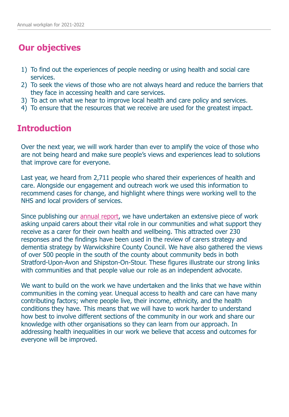## **Our objectives**

- 1) To find out the experiences of people needing or using health and social care services.
- 2) To seek the views of those who are not always heard and reduce the barriers that they face in accessing health and care services.
- 3) To act on what we hear to improve local health and care policy and services.
- 4) To ensure that the resources that we receive are used for the greatest impact.

## **Introduction**

Over the next year, we will work harder than ever to amplify the voice of those who are not being heard and make sure people's views and experiences lead to solutions that improve care for everyone.

Last year, we heard from 2,711 people who shared their experiences of health and care. Alongside our engagement and outreach work we used this information to recommend cases for change, and highlight where things were working well to the NHS and local providers of services.

Since publishing our [annual report,](https://www.healthwatchwarwickshire.co.uk/report/2021-06-30/our-2020-2021-annual-report) we have undertaken an extensive piece of work asking unpaid carers about their vital role in our communities and what support they receive as a carer for their own health and wellbeing. This attracted over 230 responses and the findings have been used in the review of carers strategy and dementia strategy by Warwickshire County Council. We have also gathered the views of over 500 people in the south of the county about community beds in both Stratford-Upon-Avon and Shipston-On-Stour. These figures illustrate our strong links with communities and that people value our role as an independent advocate.

We want to build on the work we have undertaken and the links that we have within communities in the coming year. Unequal access to health and care can have many contributing factors; where people live, their income, ethnicity, and the health conditions they have. This means that we will have to work harder to understand how best to involve different sections of the community in our work and share our knowledge with other organisations so they can learn from our approach. In addressing health inequalities in our work we believe that access and outcomes for everyone will be improved.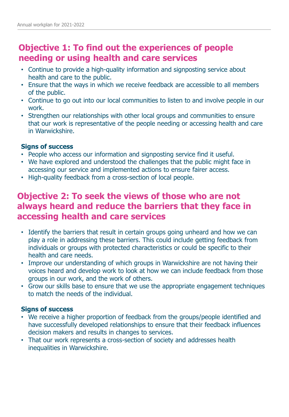## **Objective 1: To find out the experiences of people needing or using health and care services**

- Continue to provide a high-quality information and signposting service about health and care to the public.
- Ensure that the ways in which we receive feedback are accessible to all members of the public.
- Continue to go out into our local communities to listen to and involve people in our work.
- Strengthen our relationships with other local groups and communities to ensure that our work is representative of the people needing or accessing health and care in Warwickshire.

#### **Signs of success**

- People who access our information and signposting service find it useful.
- We have explored and understood the challenges that the public might face in accessing our service and implemented actions to ensure fairer access.
- High-quality feedback from a cross-section of local people.

## **Objective 2: To seek the views of those who are not always heard and reduce the barriers that they face in accessing health and care services**

- Identify the barriers that result in certain groups going unheard and how we can play a role in addressing these barriers. This could include getting feedback from individuals or groups with protected characteristics or could be specific to their health and care needs.
- Improve our understanding of which groups in Warwickshire are not having their voices heard and develop work to look at how we can include feedback from those groups in our work, and the work of others.
- Grow our skills base to ensure that we use the appropriate engagement techniques to match the needs of the individual.

#### **Signs of success**

- We receive a higher proportion of feedback from the groups/people identified and have successfully developed relationships to ensure that their feedback influences decision makers and results in changes to services.
- That our work represents a cross-section of society and addresses health inequalities in Warwickshire.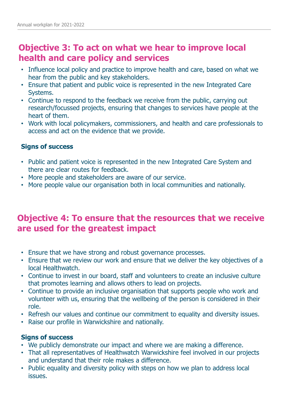## **Objective 3: To act on what we hear to improve local health and care policy and services**

- Influence local policy and practice to improve health and care, based on what we hear from the public and key stakeholders.
- Ensure that patient and public voice is represented in the new Integrated Care Systems.
- Continue to respond to the feedback we receive from the public, carrying out research/focussed projects, ensuring that changes to services have people at the heart of them.
- Work with local policymakers, commissioners, and health and care professionals to access and act on the evidence that we provide.

#### **Signs of success**

- Public and patient voice is represented in the new Integrated Care System and there are clear routes for feedback.
- More people and stakeholders are aware of our service.
- More people value our organisation both in local communities and nationally.

## **Objective 4: To ensure that the resources that we receive are used for the greatest impact**

- Ensure that we have strong and robust governance processes.
- Ensure that we review our work and ensure that we deliver the key objectives of a local Healthwatch.
- Continue to invest in our board, staff and volunteers to create an inclusive culture that promotes learning and allows others to lead on projects.
- Continue to provide an inclusive organisation that supports people who work and volunteer with us, ensuring that the wellbeing of the person is considered in their role.
- Refresh our values and continue our commitment to equality and diversity issues.
- Raise our profile in Warwickshire and nationally.

#### **Signs of success**

- We publicly demonstrate our impact and where we are making a difference.
- That all representatives of Healthwatch Warwickshire feel involved in our projects and understand that their role makes a difference.
- Public equality and diversity policy with steps on how we plan to address local issues.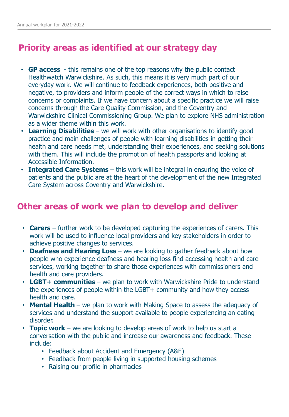## **Priority areas as identified at our strategy day**

- **GP access**  this remains one of the top reasons why the public contact Healthwatch Warwickshire. As such, this means it is very much part of our everyday work. We will continue to feedback experiences, both positive and negative, to providers and inform people of the correct ways in which to raise concerns or complaints. If we have concern about a specific practice we will raise concerns through the Care Quality Commission, and the Coventry and Warwickshire Clinical Commissioning Group. We plan to explore NHS administration as a wider theme within this work.
- **Learning Disabilities**  we will work with other organisations to identify good practice and main challenges of people with learning disabilities in getting their health and care needs met, understanding their experiences, and seeking solutions with them. This will include the promotion of health passports and looking at Accessible Information.
- **Integrated Care Systems** this work will be integral in ensuring the voice of patients and the public are at the heart of the development of the new Integrated Care System across Coventry and Warwickshire.

## **Other areas of work we plan to develop and deliver**

- **Carers** further work to be developed capturing the experiences of carers. This work will be used to influence local providers and key stakeholders in order to achieve positive changes to services.
- **Deafness and Hearing Loss** we are looking to gather feedback about how people who experience deafness and hearing loss find accessing health and care services, working together to share those experiences with commissioners and health and care providers.
- **LGBT+ communities**  we plan to work with Warwickshire Pride to understand the experiences of people within the LGBT+ community and how they access health and care.
- **Mental Health**  we plan to work with Making Space to assess the adequacy of services and understand the support available to people experiencing an eating disorder.
- **Topic work** we are looking to develop areas of work to help us start a conversation with the public and increase our awareness and feedback. These include:
	- Feedback about Accident and Emergency (A&E)
	- Feedback from people living in supported housing schemes
	- Raising our profile in pharmacies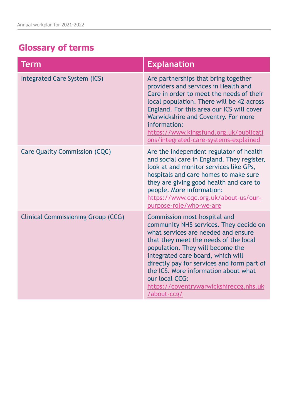## **Glossary of terms**

| Term                                      | <b>Explanation</b>                                                                                                                                                                                                                                                                                                                                                                               |
|-------------------------------------------|--------------------------------------------------------------------------------------------------------------------------------------------------------------------------------------------------------------------------------------------------------------------------------------------------------------------------------------------------------------------------------------------------|
| <b>Integrated Care System (ICS)</b>       | Are partnerships that bring together<br>providers and services in Health and<br>Care in order to meet the needs of their<br>local population. There will be 42 across<br>England. For this area our ICS will cover<br>Warwickshire and Coventry. For more<br>information:<br>https://www.kingsfund.org.uk/publicati<br>ons/integrated-care-systems-explained                                     |
| <b>Care Quality Commission (CQC)</b>      | Are the independent regulator of health<br>and social care in England. They register,<br>look at and monitor services like GPs,<br>hospitals and care homes to make sure<br>they are giving good health and care to<br>people. More information:<br>https://www.cqc.org.uk/about-us/our-<br>purpose-role/who-we-are                                                                              |
| <b>Clinical Commissioning Group (CCG)</b> | Commission most hospital and<br>community NHS services. They decide on<br>what services are needed and ensure<br>that they meet the needs of the local<br>population. They will become the<br>integrated care board, which will<br>directly pay for services and form part of<br>the ICS. More information about what<br>our local CCG:<br>https://coventrywarwickshireccg.nhs.uk<br>/about-ccg/ |